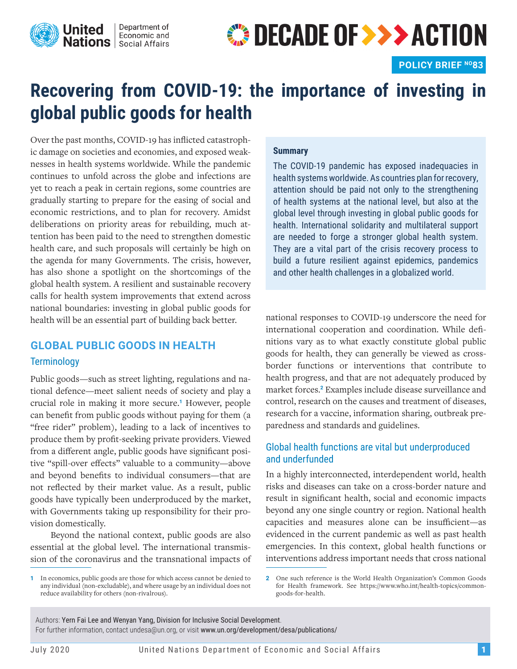

# **OECADE OF >>> ACTION**

# **Recovering from COVID-19: the importance of investing in global public goods for health**

Over the past months, COVID-19 has inflicted catastrophic damage on societies and economies, and exposed weaknesses in health systems worldwide. While the pandemic continues to unfold across the globe and infections are yet to reach a peak in certain regions, some countries are gradually starting to prepare for the easing of social and economic restrictions, and to plan for recovery. Amidst deliberations on priority areas for rebuilding, much attention has been paid to the need to strengthen domestic health care, and such proposals will certainly be high on the agenda for many Governments. The crisis, however, has also shone a spotlight on the shortcomings of the global health system. A resilient and sustainable recovery calls for health system improvements that extend across national boundaries: investing in global public goods for health will be an essential part of building back better.

# **GLOBAL PUBLIC GOODS IN HEALTH Terminology**

Public goods—such as street lighting, regulations and national defence—meet salient needs of society and play a crucial role in making it more secure.**1** However, people can benefit from public goods without paying for them (a "free rider" problem), leading to a lack of incentives to produce them by profit-seeking private providers. Viewed from a different angle, public goods have significant positive "spill-over effects" valuable to a community—above and beyond benefits to individual consumers—that are not reflected by their market value. As a result, public goods have typically been underproduced by the market, with Governments taking up responsibility for their provision domestically.

Beyond the national context, public goods are also essential at the global level. The international transmission of the coronavirus and the transnational impacts of

#### **1** In economics, public goods are those for which access cannot be denied to any individual (non-excludable), and where usage by an individual does not reduce availability for others (non-rivalrous).

#### **Summary**

The COVID-19 pandemic has exposed inadequacies in health systems worldwide. As countries plan for recovery, attention should be paid not only to the strengthening of health systems at the national level, but also at the global level through investing in global public goods for health. International solidarity and multilateral support are needed to forge a stronger global health system. They are a vital part of the crisis recovery process to build a future resilient against epidemics, pandemics and other health challenges in a globalized world.

national responses to COVID-19 underscore the need for international cooperation and coordination. While definitions vary as to what exactly constitute global public goods for health, they can generally be viewed as crossborder functions or interventions that contribute to health progress, and that are not adequately produced by market forces.**2** Examples include disease surveillance and control, research on the causes and treatment of diseases, research for a vaccine, information sharing, outbreak preparedness and standards and guidelines.

### Global health functions are vital but underproduced and underfunded

In a highly interconnected, interdependent world, health risks and diseases can take on a cross-border nature and result in significant health, social and economic impacts beyond any one single country or region. National health capacities and measures alone can be insufficient—as evidenced in the current pandemic as well as past health emergencies. In this context, global health functions or interventions address important needs that cross national

Authors: Yern Fai Lee and Wenyan Yang, Division for Inclusive Social Development. For further information, contact undesa@un.org, or visit www.un.org/development/desa/publications/

**<sup>2</sup>** One such reference is the World Health Organization's Common Goods for Health framework. See https://www.who.int/health-topics/commongoods-for-health.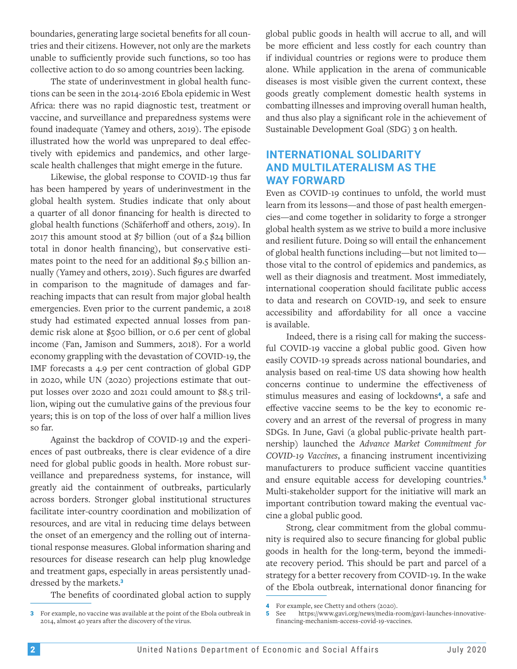boundaries, generating large societal benefits for all countries and their citizens. However, not only are the markets unable to sufficiently provide such functions, so too has collective action to do so among countries been lacking.

The state of underinvestment in global health functions can be seen in the 2014-2016 Ebola epidemic in West Africa: there was no rapid diagnostic test, treatment or vaccine, and surveillance and preparedness systems were found inadequate (Yamey and others, 2019). The episode illustrated how the world was unprepared to deal effectively with epidemics and pandemics, and other largescale health challenges that might emerge in the future.

Likewise, the global response to COVID-19 thus far has been hampered by years of underinvestment in the global health system. Studies indicate that only about a quarter of all donor financing for health is directed to global health functions (Schäferhoff and others, 2019). In 2017 this amount stood at  $\frac{2}{7}$  billion (out of a  $\frac{2}{4}$  billion total in donor health financing), but conservative estimates point to the need for an additional \$9.5 billion annually (Yamey and others, 2019). Such figures are dwarfed in comparison to the magnitude of damages and farreaching impacts that can result from major global health emergencies. Even prior to the current pandemic, a 2018 study had estimated expected annual losses from pandemic risk alone at \$500 billion, or 0.6 per cent of global income (Fan, Jamison and Summers, 2018). For a world economy grappling with the devastation of COVID-19, the IMF forecasts a 4.9 per cent contraction of global GDP in 2020, while UN (2020) projections estimate that output losses over 2020 and 2021 could amount to \$8.5 trillion, wiping out the cumulative gains of the previous four years; this is on top of the loss of over half a million lives so far.

Against the backdrop of COVID-19 and the experiences of past outbreaks, there is clear evidence of a dire need for global public goods in health. More robust surveillance and preparedness systems, for instance, will greatly aid the containment of outbreaks, particularly across borders. Stronger global institutional structures facilitate inter-country coordination and mobilization of resources, and are vital in reducing time delays between the onset of an emergency and the rolling out of international response measures. Global information sharing and resources for disease research can help plug knowledge and treatment gaps, especially in areas persistently unaddressed by the markets.**<sup>3</sup>**

The benefits of coordinated global action to supply

global public goods in health will accrue to all, and will be more efficient and less costly for each country than if individual countries or regions were to produce them alone. While application in the arena of communicable diseases is most visible given the current context, these goods greatly complement domestic health systems in combatting illnesses and improving overall human health, and thus also play a significant role in the achievement of Sustainable Development Goal (SDG) 3 on health.

## **INTERNATIONAL SOLIDARITY AND MULTILATERALISM AS THE WAY FORWARD**

Even as COVID-19 continues to unfold, the world must learn from its lessons—and those of past health emergencies—and come together in solidarity to forge a stronger global health system as we strive to build a more inclusive and resilient future. Doing so will entail the enhancement of global health functions including—but not limited to those vital to the control of epidemics and pandemics, as well as their diagnosis and treatment. Most immediately, international cooperation should facilitate public access to data and research on COVID-19, and seek to ensure accessibility and affordability for all once a vaccine is available.

Indeed, there is a rising call for making the successful COVID-19 vaccine a global public good. Given how easily COVID-19 spreads across national boundaries, and analysis based on real-time US data showing how health concerns continue to undermine the effectiveness of stimulus measures and easing of lockdowns**4**, a safe and effective vaccine seems to be the key to economic recovery and an arrest of the reversal of progress in many SDGs. In June, Gavi (a global public-private health partnership) launched the *Advance Market Commitment for COVID-19 Vaccines*, a financing instrument incentivizing manufacturers to produce sufficient vaccine quantities and ensure equitable access for developing countries.**<sup>5</sup>** Multi-stakeholder support for the initiative will mark an important contribution toward making the eventual vaccine a global public good.

Strong, clear commitment from the global community is required also to secure financing for global public goods in health for the long-term, beyond the immediate recovery period. This should be part and parcel of a strategy for a better recovery from COVID-19. In the wake of the Ebola outbreak, international donor financing for

**<sup>3</sup>** For example, no vaccine was available at the point of the Ebola outbreak in 2014, almost 40 years after the discovery of the virus.

**<sup>4</sup>** For example, see Chetty and others (2020).

**<sup>5</sup>** See https://www.gavi.org/news/media-room/gavi-launches-innovativefinancing-mechanism-access-covid-19-vaccines.